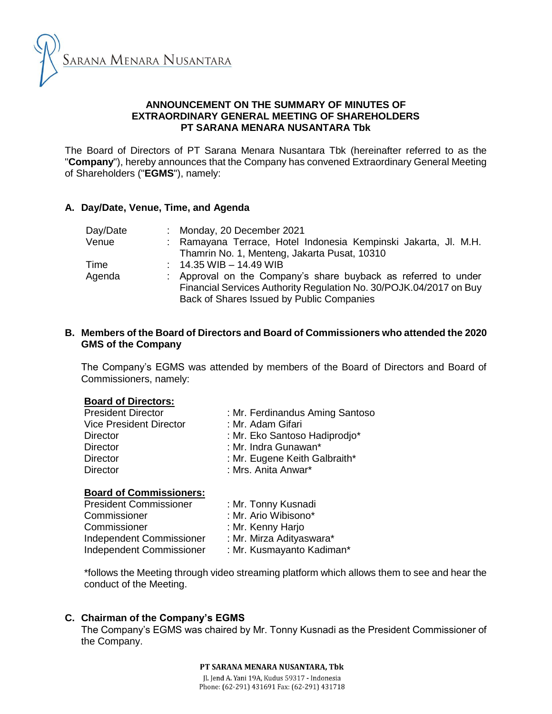

### **ANNOUNCEMENT ON THE SUMMARY OF MINUTES OF EXTRAORDINARY GENERAL MEETING OF SHAREHOLDERS PT SARANA MENARA NUSANTARA Tbk**

The Board of Directors of PT Sarana Menara Nusantara Tbk (hereinafter referred to as the "**Company**"), hereby announces that the Company has convened Extraordinary General Meeting of Shareholders ("**EGMS**"), namely:

## **A. Day/Date, Venue, Time, and Agenda**

| Day/Date | : Monday, 20 December 2021                                         |
|----------|--------------------------------------------------------------------|
| Venue    | : Ramayana Terrace, Hotel Indonesia Kempinski Jakarta, Jl. M.H.    |
|          | Thamrin No. 1, Menteng, Jakarta Pusat, 10310                       |
| Time     | $: 14.35 \,\mathrm{WIB} - 14.49 \,\mathrm{WIB}$                    |
| Agenda   | : Approval on the Company's share buyback as referred to under     |
|          | Financial Services Authority Regulation No. 30/POJK.04/2017 on Buy |
|          | Back of Shares Issued by Public Companies                          |

### **B. Members of the Board of Directors and Board of Commissioners who attended the 2020 GMS of the Company**

The Company's EGMS was attended by members of the Board of Directors and Board of Commissioners, namely:

### **Board of Directors:**

| <b>President Director</b>      | : Mr. Ferdinandus Aming Santoso |
|--------------------------------|---------------------------------|
| <b>Vice President Director</b> | : Mr. Adam Gifari               |
| <b>Director</b>                | : Mr. Eko Santoso Hadiprodjo*   |
| <b>Director</b>                | : Mr. Indra Gunawan*            |
| <b>Director</b>                | : Mr. Eugene Keith Galbraith*   |
| <b>Director</b>                | : Mrs. Anita Anwar*             |
|                                |                                 |

# **Board of Commissioners:**

| <b>President Commissioner</b> | : Mr. Tonny Kusnadi       |  |  |
|-------------------------------|---------------------------|--|--|
| Commissioner                  | : Mr. Ario Wibisono*      |  |  |
| Commissioner                  | : Mr. Kenny Harjo         |  |  |
| Independent Commissioner      | : Mr. Mirza Adityaswara*  |  |  |
| Independent Commissioner      | : Mr. Kusmayanto Kadiman* |  |  |
|                               |                           |  |  |

\*follows the Meeting through video streaming platform which allows them to see and hear the conduct of the Meeting.

### **C. Chairman of the Company's EGMS**

The Company's EGMS was chaired by Mr. Tonny Kusnadi as the President Commissioner of the Company.

> PT SARANA MENARA NUSANTARA. Tbk Jl. Jend A. Yani 19A, Kudus 59317 - Indonesia Phone: (62-291) 431691 Fax: (62-291) 431718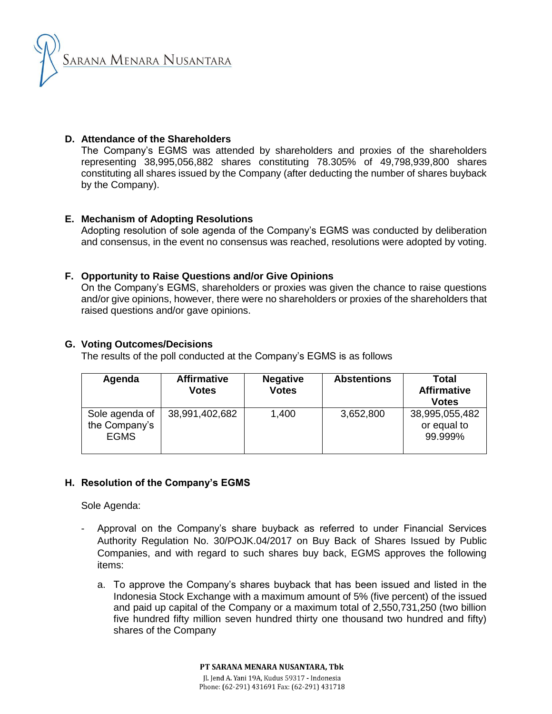

# **D. Attendance of the Shareholders**

The Company's EGMS was attended by shareholders and proxies of the shareholders representing 38,995,056,882 shares constituting 78.305% of 49,798,939,800 shares constituting all shares issued by the Company (after deducting the number of shares buyback by the Company).

# **E. Mechanism of Adopting Resolutions**

Adopting resolution of sole agenda of the Company's EGMS was conducted by deliberation and consensus, in the event no consensus was reached, resolutions were adopted by voting.

## **F. Opportunity to Raise Questions and/or Give Opinions**

On the Company's EGMS, shareholders or proxies was given the chance to raise questions and/or give opinions, however, there were no shareholders or proxies of the shareholders that raised questions and/or gave opinions.

## **G. Voting Outcomes/Decisions**

The results of the poll conducted at the Company's EGMS is as follows

| Agenda                                         | <b>Affirmative</b><br><b>Votes</b> | <b>Negative</b><br><b>Votes</b> | <b>Abstentions</b> | <b>Total</b><br><b>Affirmative</b><br><b>Votes</b> |
|------------------------------------------------|------------------------------------|---------------------------------|--------------------|----------------------------------------------------|
| Sole agenda of<br>the Company's<br><b>EGMS</b> | 38,991,402,682                     | 1,400                           | 3,652,800          | 38,995,055,482<br>or equal to<br>99.999%           |

# **H. Resolution of the Company's EGMS**

Sole Agenda:

- Approval on the Company's share buyback as referred to under Financial Services Authority Regulation No. 30/POJK.04/2017 on Buy Back of Shares Issued by Public Companies, and with regard to such shares buy back, EGMS approves the following items:
	- a. To approve the Company's shares buyback that has been issued and listed in the Indonesia Stock Exchange with a maximum amount of 5% (five percent) of the issued and paid up capital of the Company or a maximum total of 2,550,731,250 (two billion five hundred fifty million seven hundred thirty one thousand two hundred and fifty) shares of the Company